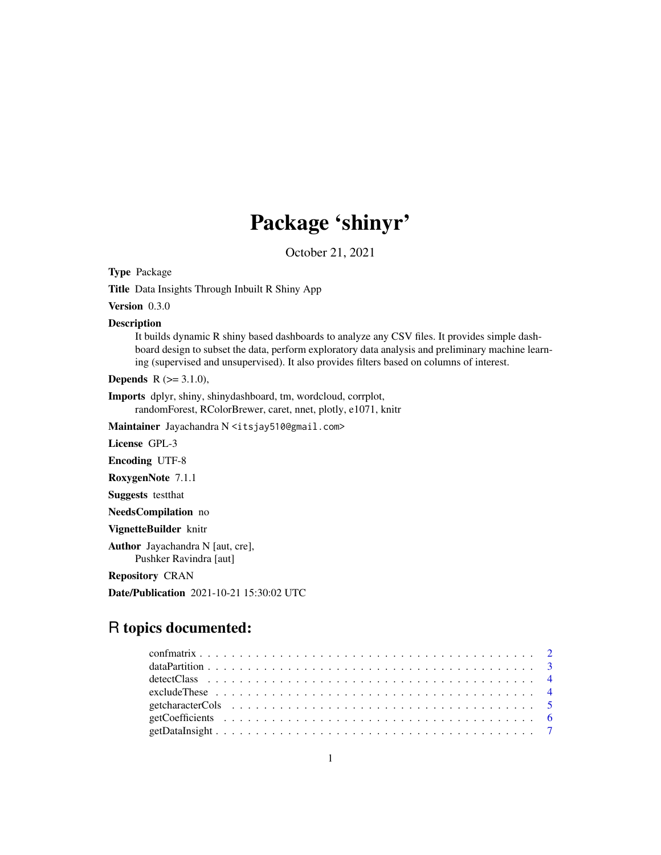# Package 'shinyr'

October 21, 2021

Type Package

Title Data Insights Through Inbuilt R Shiny App

Version 0.3.0

Description

It builds dynamic R shiny based dashboards to analyze any CSV files. It provides simple dashboard design to subset the data, perform exploratory data analysis and preliminary machine learning (supervised and unsupervised). It also provides filters based on columns of interest.

**Depends** R  $(>= 3.1.0)$ ,

Imports dplyr, shiny, shinydashboard, tm, wordcloud, corrplot, randomForest, RColorBrewer, caret, nnet, plotly, e1071, knitr

Maintainer Jayachandra N <itsjay510@gmail.com>

License GPL-3

Encoding UTF-8

RoxygenNote 7.1.1

Suggests testthat

NeedsCompilation no

VignetteBuilder knitr

Author Jayachandra N [aut, cre], Pushker Ravindra [aut]

Repository CRAN

Date/Publication 2021-10-21 15:30:02 UTC

# R topics documented:

| exclude These $\ldots \ldots \ldots \ldots \ldots \ldots \ldots \ldots \ldots \ldots \ldots \ldots \ldots$ |  |
|------------------------------------------------------------------------------------------------------------|--|
|                                                                                                            |  |
|                                                                                                            |  |
|                                                                                                            |  |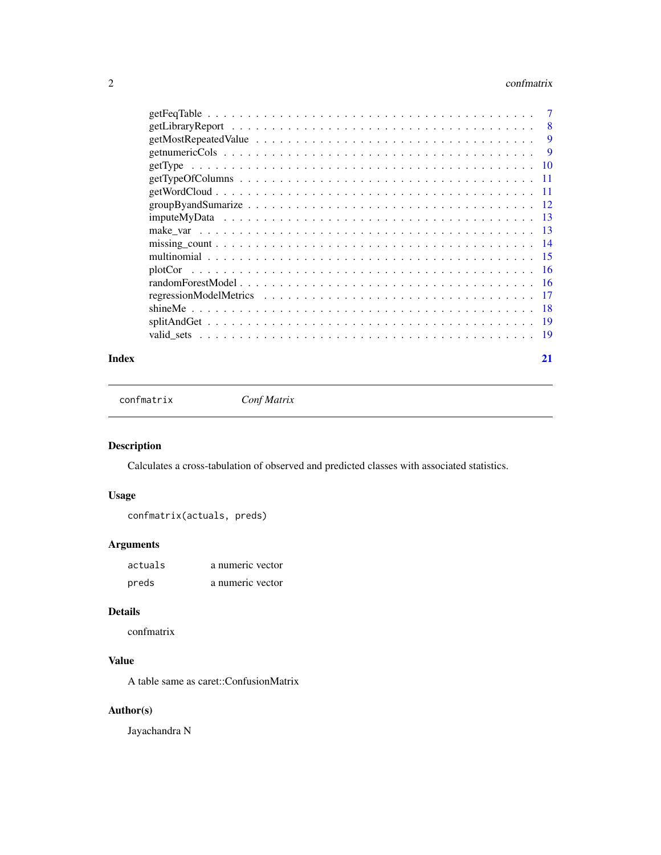#### <span id="page-1-0"></span> $2 \cos \theta$  confinant is a set of  $\theta$  confinant is a set of  $\theta$  confinant is a set of  $\theta$  confinant is a set of  $\theta$  is a set of  $\theta$  is a set of  $\theta$  is a set of  $\theta$  is a set of  $\theta$  is a set of  $\theta$  is a set of  $\theta$  is

|                                                                                                              | 8   |
|--------------------------------------------------------------------------------------------------------------|-----|
|                                                                                                              | 9   |
|                                                                                                              | 9   |
|                                                                                                              | -10 |
| $getTypeOfColumns \dots \dots \dots \dots \dots \dots \dots \dots \dots \dots \dots \dots \dots \dots \dots$ |     |
|                                                                                                              |     |
|                                                                                                              |     |
|                                                                                                              | -13 |
|                                                                                                              | -13 |
|                                                                                                              | -14 |
|                                                                                                              | -15 |
|                                                                                                              |     |
|                                                                                                              |     |
|                                                                                                              | -17 |
|                                                                                                              | -18 |
|                                                                                                              | -19 |
|                                                                                                              | 19  |
|                                                                                                              |     |

#### **Index** [21](#page-20-0)

confmatrix *Conf Matrix*

## Description

Calculates a cross-tabulation of observed and predicted classes with associated statistics.

## Usage

```
confmatrix(actuals, preds)
```
## Arguments

| actuals | a numeric vector |
|---------|------------------|
| preds   | a numeric vector |

## Details

confmatrix

## Value

A table same as caret::ConfusionMatrix

## Author(s)

Jayachandra N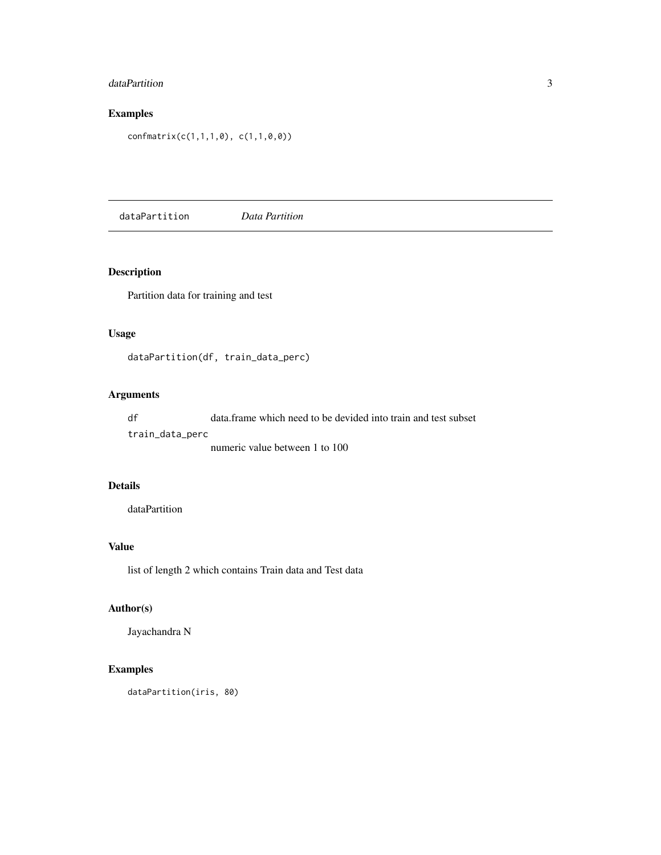## <span id="page-2-0"></span>dataPartition 3

## Examples

confmatrix(c(1,1,1,0), c(1,1,0,0))

dataPartition *Data Partition*

## Description

Partition data for training and test

## Usage

dataPartition(df, train\_data\_perc)

## Arguments

df data.frame which need to be devided into train and test subset train\_data\_perc numeric value between 1 to 100

#### Details

dataPartition

## Value

list of length 2 which contains Train data and Test data

#### Author(s)

Jayachandra N

## Examples

dataPartition(iris, 80)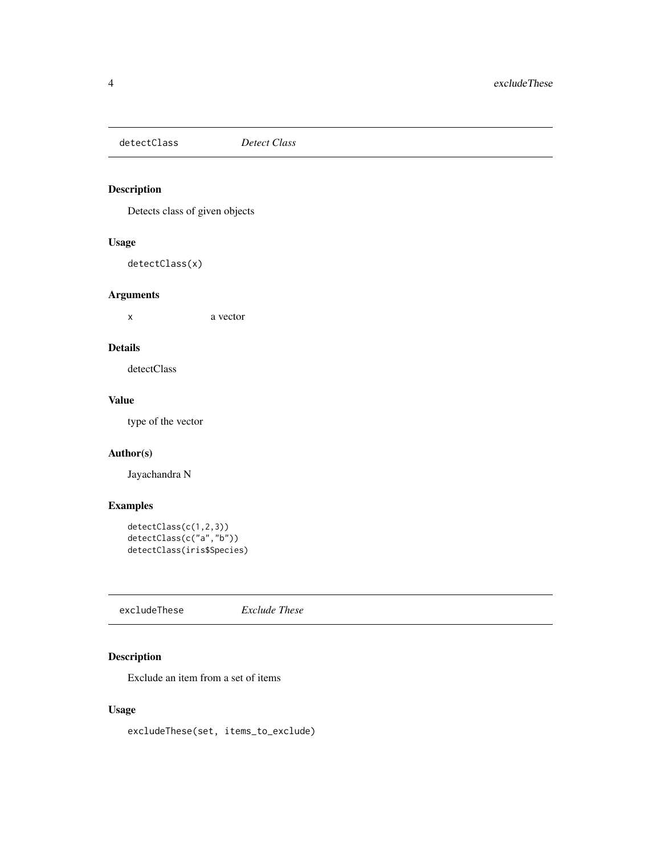<span id="page-3-0"></span>detectClass *Detect Class*

## Description

Detects class of given objects

## Usage

detectClass(x)

## Arguments

x a vector

#### Details

detectClass

## Value

type of the vector

#### Author(s)

Jayachandra N

## Examples

```
detectClass(c(1,2,3))
detectClass(c("a","b"))
detectClass(iris$Species)
```
excludeThese *Exclude These*

## Description

Exclude an item from a set of items

## Usage

excludeThese(set, items\_to\_exclude)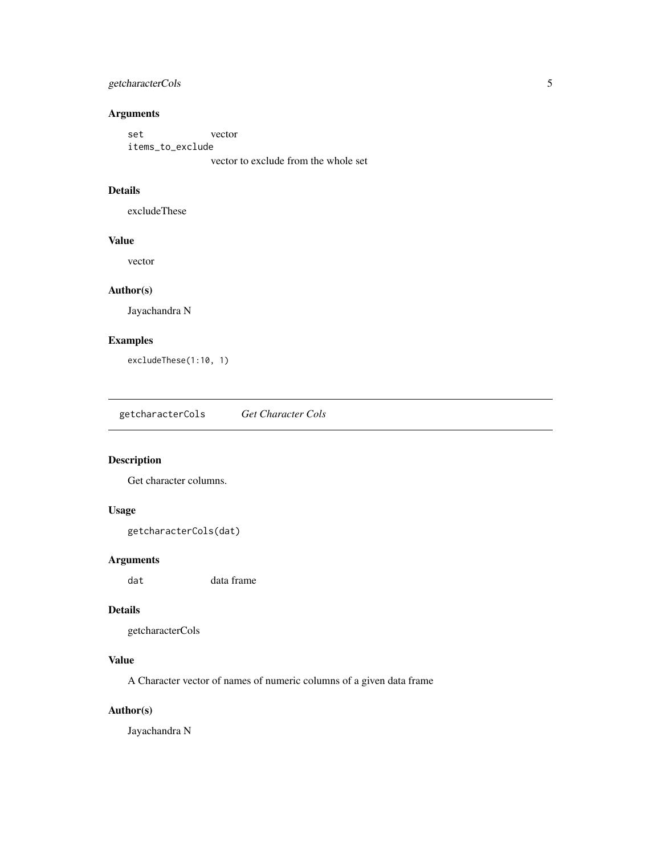## <span id="page-4-0"></span>getcharacterCols 5

#### Arguments

set vector items\_to\_exclude

vector to exclude from the whole set

## Details

excludeThese

#### Value

vector

#### Author(s)

Jayachandra N

## Examples

excludeThese(1:10, 1)

getcharacterCols *Get Character Cols*

## Description

Get character columns.

## Usage

getcharacterCols(dat)

## Arguments

dat data frame

#### Details

getcharacterCols

## Value

A Character vector of names of numeric columns of a given data frame

## Author(s)

Jayachandra N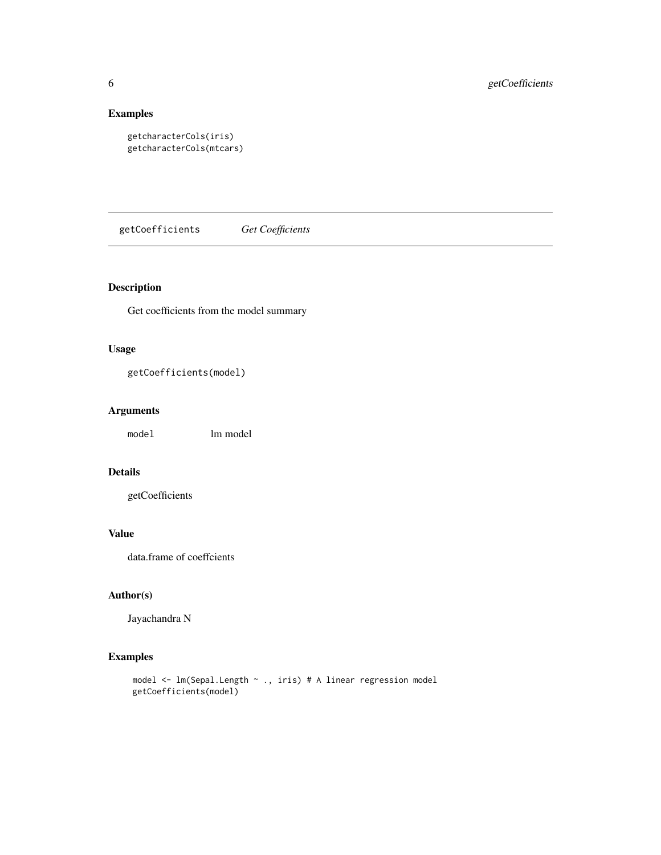## Examples

```
getcharacterCols(iris)
getcharacterCols(mtcars)
```
getCoefficients *Get Coefficients*

## Description

Get coefficients from the model summary

## Usage

```
getCoefficients(model)
```
## Arguments

model lm model

## Details

getCoefficients

## Value

data.frame of coeffcients

## Author(s)

Jayachandra N

## Examples

```
model <- lm(Sepal.Length ~ ., iris) # A linear regression model
getCoefficients(model)
```
<span id="page-5-0"></span>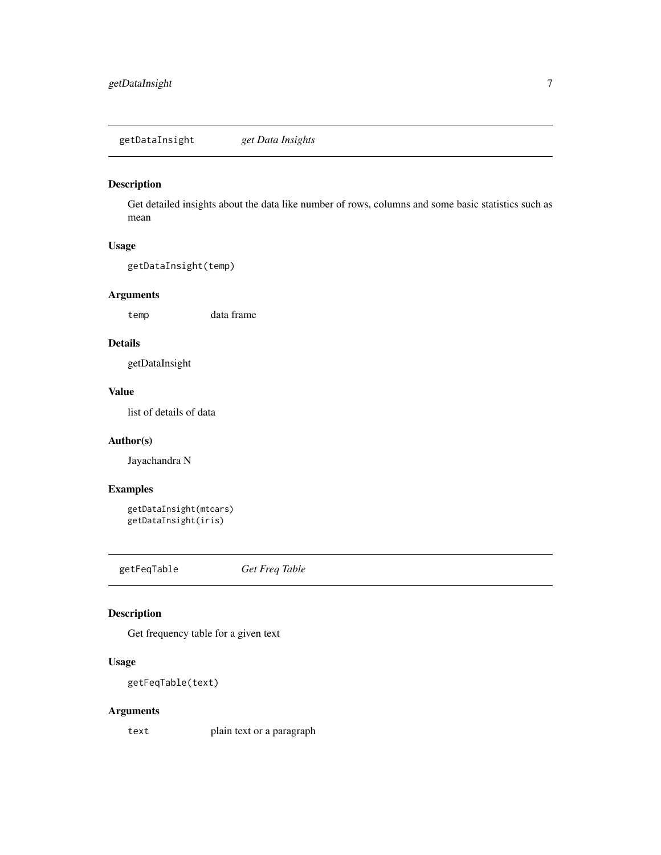<span id="page-6-0"></span>getDataInsight *get Data Insights*

## Description

Get detailed insights about the data like number of rows, columns and some basic statistics such as mean

## Usage

getDataInsight(temp)

## Arguments

temp data frame

#### Details

getDataInsight

## Value

list of details of data

#### Author(s)

Jayachandra N

## Examples

```
getDataInsight(mtcars)
getDataInsight(iris)
```
getFeqTable *Get Freq Table*

## Description

Get frequency table for a given text

## Usage

getFeqTable(text)

## Arguments

text plain text or a paragraph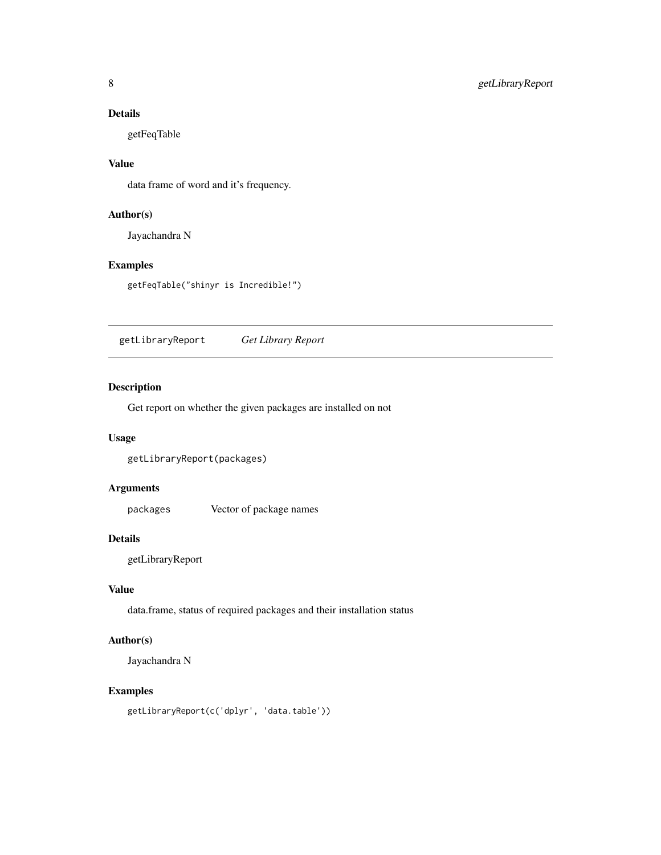## <span id="page-7-0"></span>Details

getFeqTable

## Value

data frame of word and it's frequency.

## Author(s)

Jayachandra N

## Examples

getFeqTable("shinyr is Incredible!")

getLibraryReport *Get Library Report*

## Description

Get report on whether the given packages are installed on not

## Usage

getLibraryReport(packages)

## Arguments

packages Vector of package names

#### Details

getLibraryReport

#### Value

data.frame, status of required packages and their installation status

## Author(s)

Jayachandra N

#### Examples

getLibraryReport(c('dplyr', 'data.table'))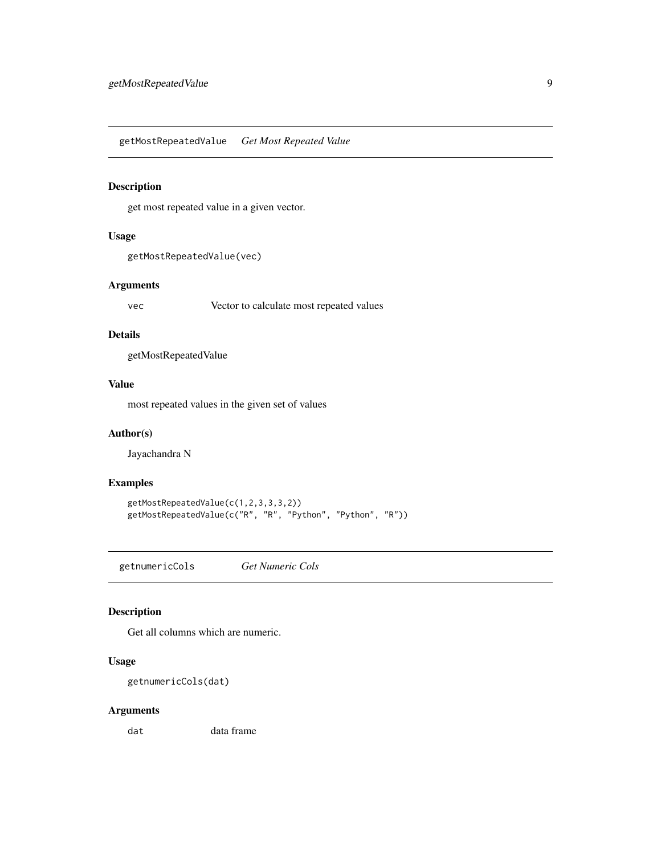<span id="page-8-0"></span>getMostRepeatedValue *Get Most Repeated Value*

## Description

get most repeated value in a given vector.

## Usage

```
getMostRepeatedValue(vec)
```
#### Arguments

vec Vector to calculate most repeated values

#### Details

getMostRepeatedValue

#### Value

most repeated values in the given set of values

## Author(s)

Jayachandra N

#### Examples

```
getMostRepeatedValue(c(1,2,3,3,3,2))
getMostRepeatedValue(c("R", "R", "Python", "Python", "R"))
```
getnumericCols *Get Numeric Cols*

## Description

Get all columns which are numeric.

#### Usage

getnumericCols(dat)

## Arguments

dat data frame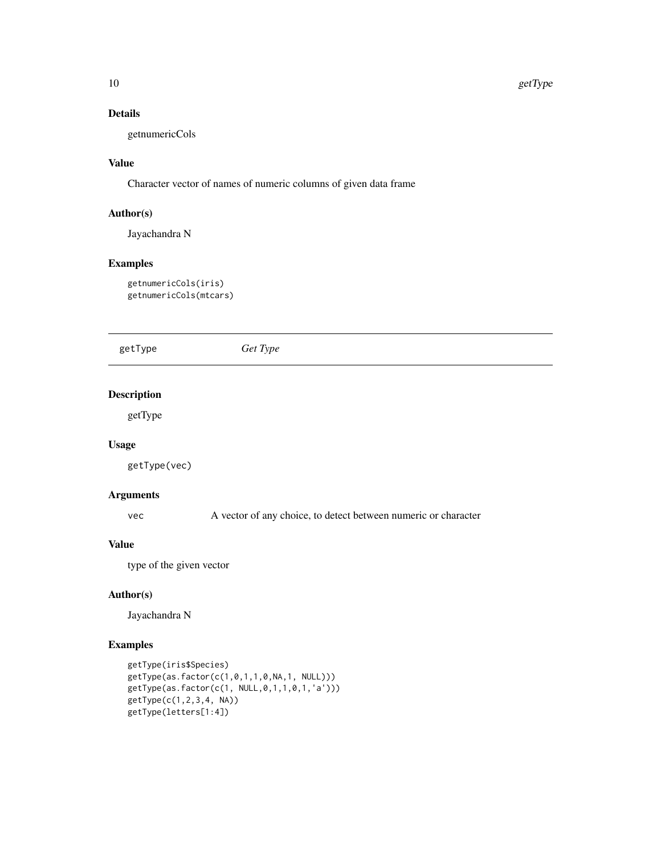## Details

getnumericCols

## Value

Character vector of names of numeric columns of given data frame

#### Author(s)

Jayachandra N

#### Examples

getnumericCols(iris) getnumericCols(mtcars)

getType *Get Type*

## Description

getType

## Usage

getType(vec)

#### Arguments

vec A vector of any choice, to detect between numeric or character

#### Value

type of the given vector

## Author(s)

Jayachandra N

## Examples

```
getType(iris$Species)
getType(as.factor(c(1,0,1,1,0,NA,1, NULL)))
getType(as.factor(c(1, NULL,0,1,1,0,1,'a')))
getType(c(1,2,3,4, NA))
getType(letters[1:4])
```
<span id="page-9-0"></span>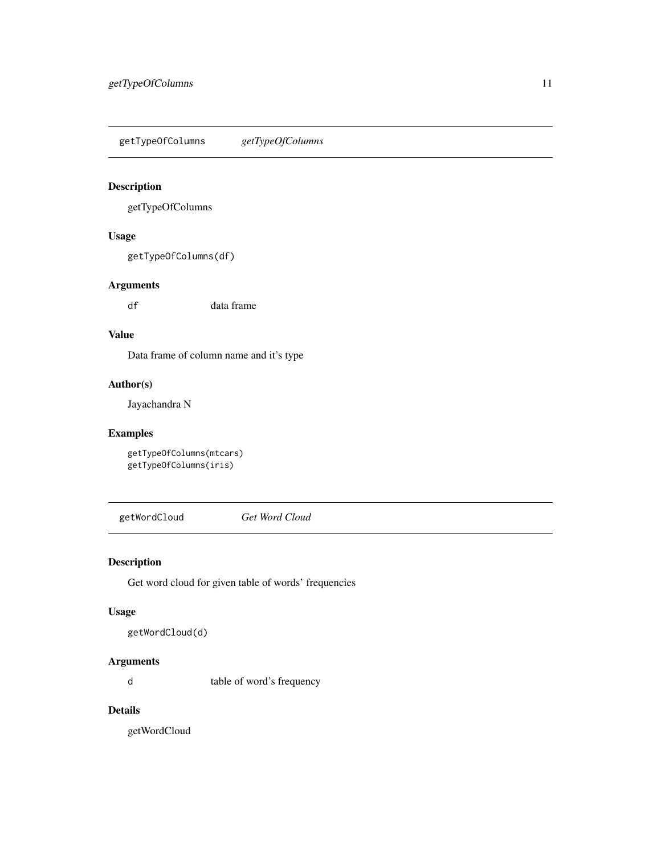<span id="page-10-0"></span>getTypeOfColumns *getTypeOfColumns*

## Description

getTypeOfColumns

#### Usage

getTypeOfColumns(df)

#### Arguments

df data frame

## Value

Data frame of column name and it's type

#### Author(s)

Jayachandra N

## Examples

```
getTypeOfColumns(mtcars)
getTypeOfColumns(iris)
```
getWordCloud *Get Word Cloud*

## Description

Get word cloud for given table of words' frequencies

#### Usage

```
getWordCloud(d)
```
## Arguments

d table of word's frequency

## Details

getWordCloud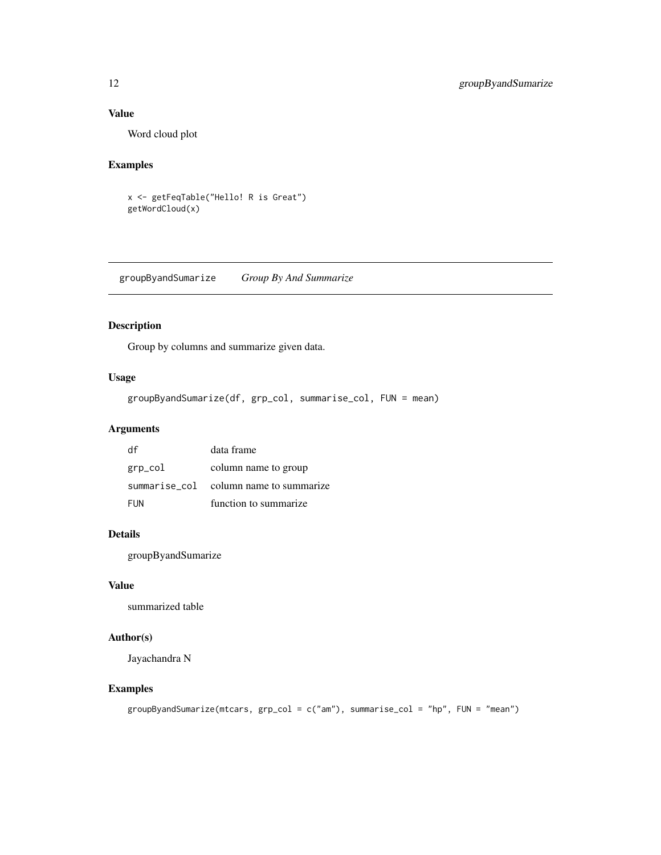## <span id="page-11-0"></span>Value

Word cloud plot

## Examples

```
x <- getFeqTable("Hello! R is Great")
getWordCloud(x)
```
groupByandSumarize *Group By And Summarize*

## Description

Group by columns and summarize given data.

## Usage

groupByandSumarize(df, grp\_col, summarise\_col, FUN = mean)

## Arguments

| df      | data frame                             |
|---------|----------------------------------------|
| grp_col | column name to group                   |
|         | summarise_col column name to summarize |
| FUN     | function to summarize                  |

## Details

groupByandSumarize

#### Value

summarized table

## Author(s)

Jayachandra N

## Examples

```
groupByandSumarize(mtcars, grp_col = c("am"), summarise_col = "hp", FUN = "mean")
```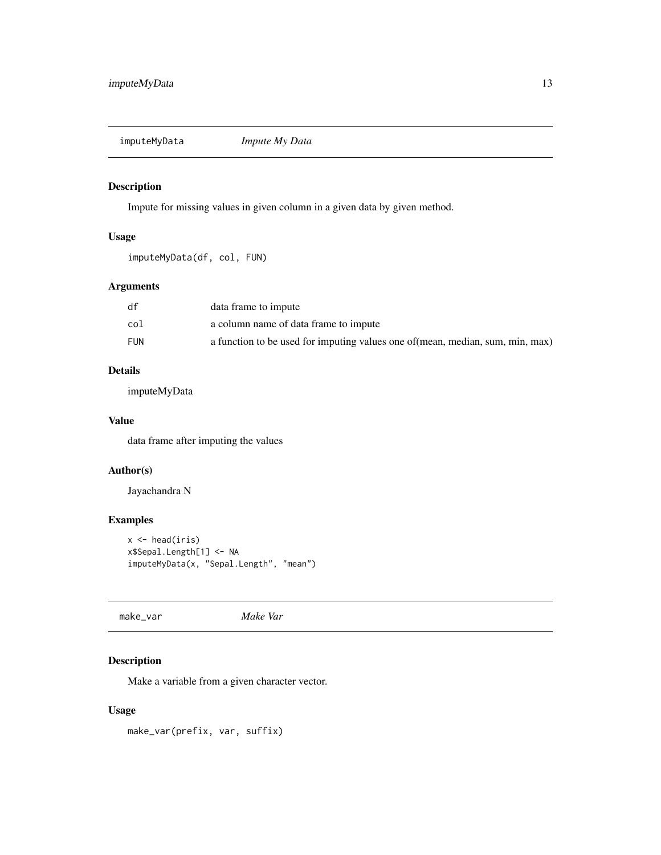<span id="page-12-0"></span>imputeMyData *Impute My Data*

## Description

Impute for missing values in given column in a given data by given method.

## Usage

imputeMyData(df, col, FUN)

#### Arguments

| df  | data frame to impute                                                           |
|-----|--------------------------------------------------------------------------------|
| col | a column name of data frame to impute                                          |
| FUN | a function to be used for imputing values one of (mean, median, sum, min, max) |

#### Details

imputeMyData

#### Value

data frame after imputing the values

#### Author(s)

Jayachandra N

## Examples

```
x \leftarrow head(iris)
x$Sepal.Length[1] <- NA
imputeMyData(x, "Sepal.Length", "mean")
```
make\_var *Make Var*

## Description

Make a variable from a given character vector.

## Usage

make\_var(prefix, var, suffix)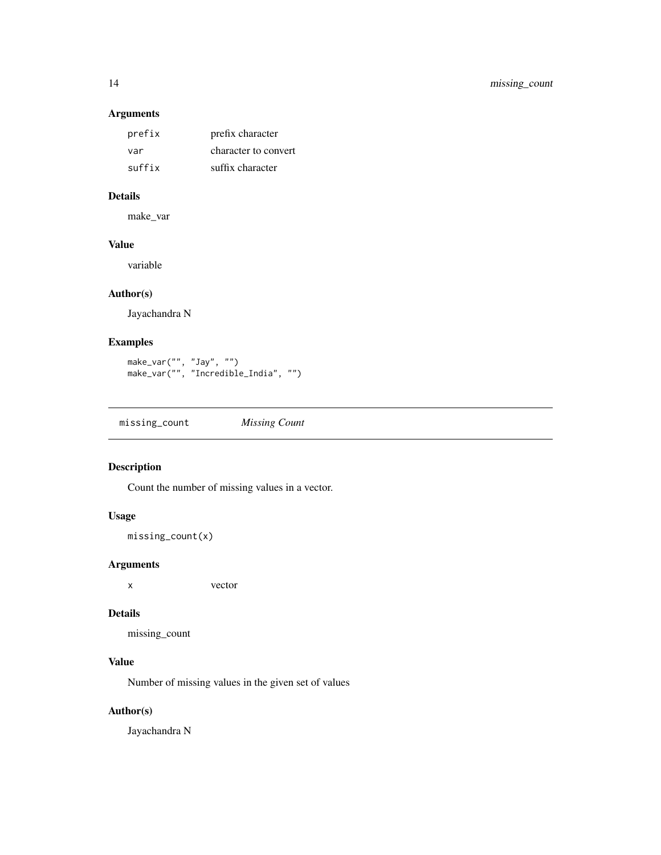## Arguments

| prefix | prefix character     |
|--------|----------------------|
| var    | character to convert |
| suffix | suffix character     |

#### Details

make\_var

## Value

variable

#### Author(s)

Jayachandra N

## Examples

```
make_var("", "Jay", "")
make_var("", "Incredible_India", "")
```
missing\_count *Missing Count*

## Description

Count the number of missing values in a vector.

## Usage

missing\_count(x)

#### Arguments

x vector

#### Details

missing\_count

## Value

Number of missing values in the given set of values

## Author(s)

Jayachandra N

<span id="page-13-0"></span>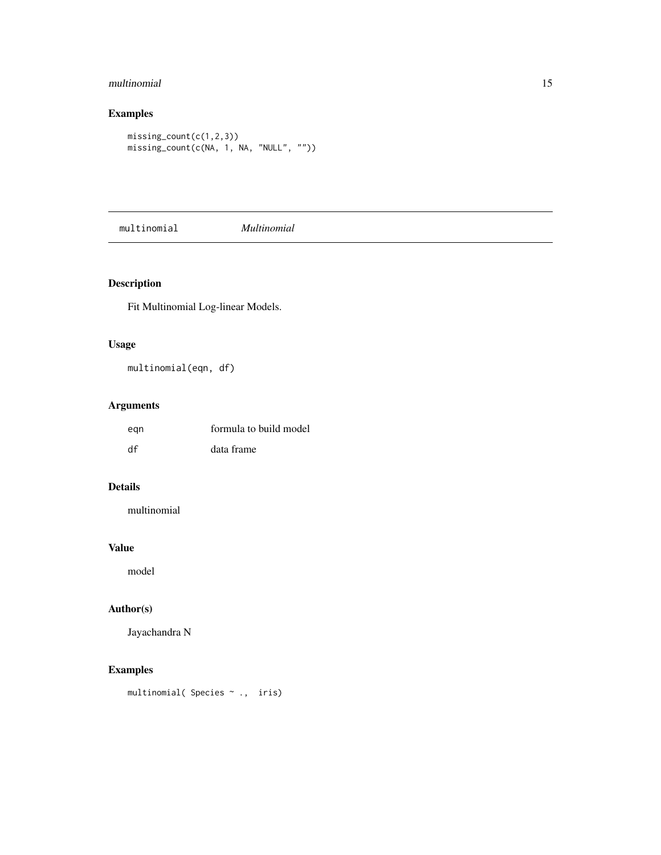## <span id="page-14-0"></span>multinomial 15

## Examples

```
missing_count(c(1,2,3))
missing_count(c(NA, 1, NA, "NULL", ""))
```
multinomial *Multinomial*

## Description

Fit Multinomial Log-linear Models.

## Usage

multinomial(eqn, df)

## Arguments

| egn | formula to build model |
|-----|------------------------|
| df  | data frame             |

## Details

multinomial

## Value

model

## Author(s)

Jayachandra N

## Examples

multinomial( Species ~ ., iris)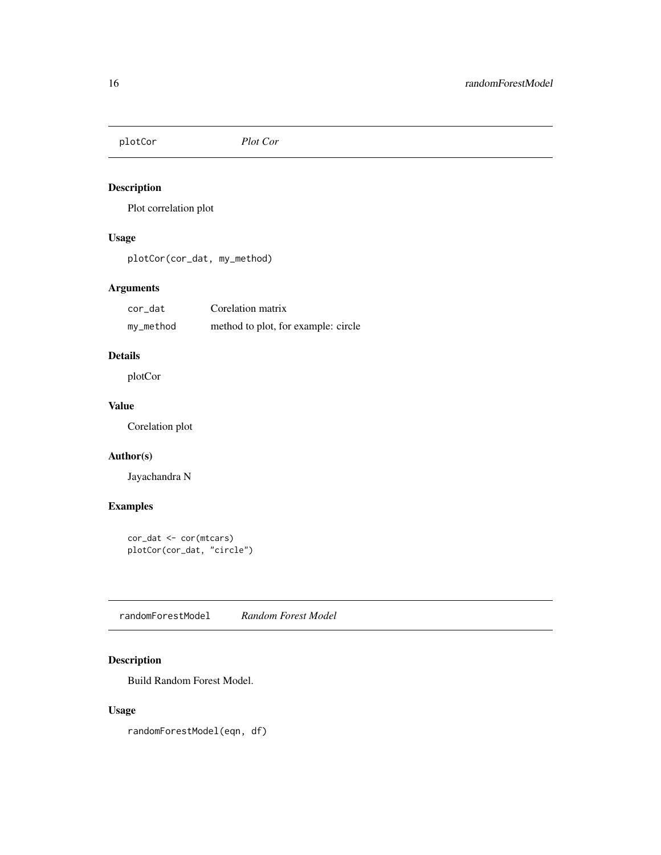<span id="page-15-0"></span>plotCor *Plot Cor*

## Description

Plot correlation plot

## Usage

plotCor(cor\_dat, my\_method)

## Arguments

| cor_dat   | Corelation matrix                   |
|-----------|-------------------------------------|
| my_method | method to plot, for example: circle |

## Details

plotCor

## Value

Corelation plot

## Author(s)

Jayachandra N

## Examples

```
cor_dat <- cor(mtcars)
plotCor(cor_dat, "circle")
```
randomForestModel *Random Forest Model*

## Description

Build Random Forest Model.

## Usage

randomForestModel(eqn, df)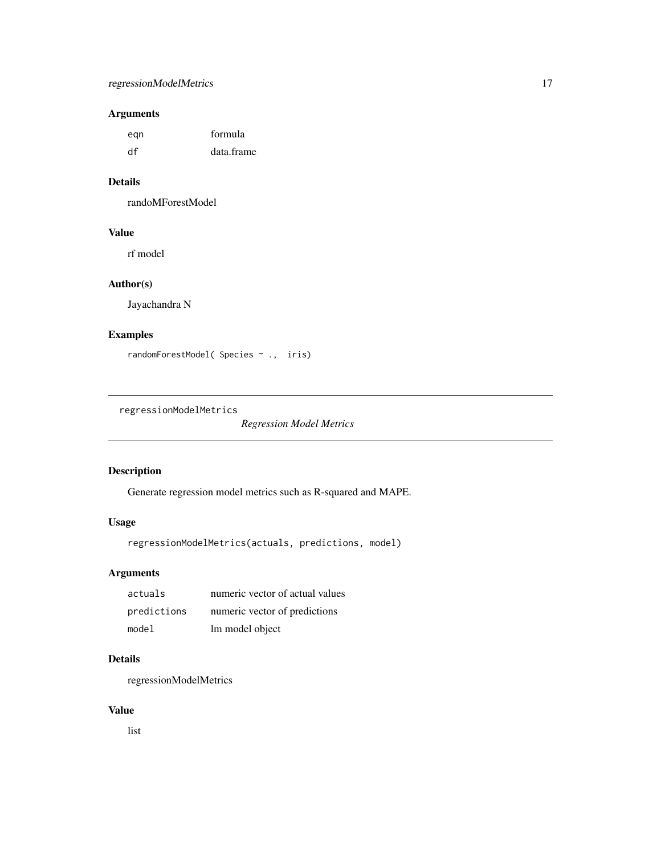## <span id="page-16-0"></span>regressionModelMetrics 17

## Arguments

| egn | formula    |
|-----|------------|
| df  | data.frame |

## Details

randoMForestModel

## Value

rf model

## Author(s)

Jayachandra N

## Examples

randomForestModel( Species ~ ., iris)

regressionModelMetrics

*Regression Model Metrics*

## Description

Generate regression model metrics such as R-squared and MAPE.

## Usage

```
regressionModelMetrics(actuals, predictions, model)
```
## Arguments

| actuals     | numeric vector of actual values |
|-------------|---------------------------------|
| predictions | numeric vector of predictions   |
| model       | lm model object                 |

## Details

regressionModelMetrics

#### Value

list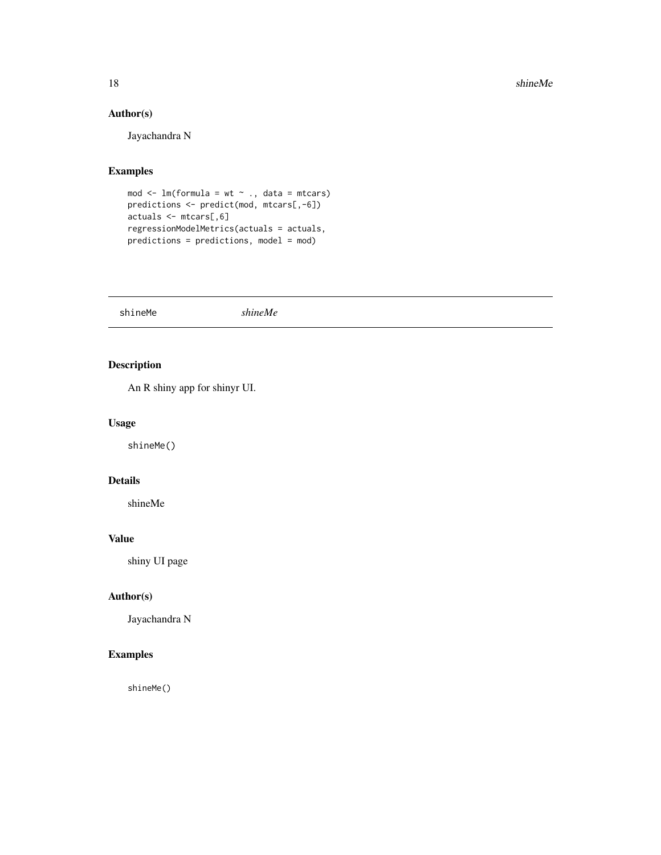18 shineMe

## Author(s)

Jayachandra N

## Examples

```
mod \leq lm(formula = wt \sim ., data = mtcars)
predictions <- predict(mod, mtcars[,-6])
actuals <- mtcars[,6]
regressionModelMetrics(actuals = actuals,
predictions = predictions, model = mod)
```
shineMe *shineMe*

## Description

An R shiny app for shinyr UI.

#### Usage

shineMe()

## Details

shineMe

#### Value

shiny UI page

## Author(s)

Jayachandra N

#### Examples

shineMe()

<span id="page-17-0"></span>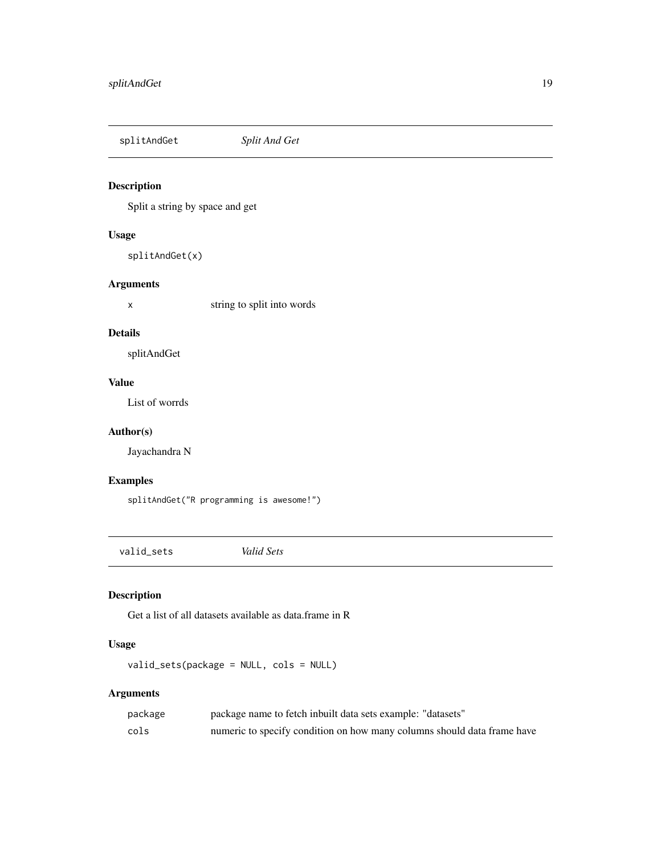<span id="page-18-0"></span>

## Description

Split a string by space and get

#### Usage

splitAndGet(x)

#### Arguments

x string to split into words

## Details

splitAndGet

#### Value

List of worrds

#### Author(s)

Jayachandra N

## Examples

splitAndGet("R programming is awesome!")

valid\_sets *Valid Sets*

## Description

Get a list of all datasets available as data.frame in R

## Usage

valid\_sets(package = NULL, cols = NULL)

## Arguments

| package | package name to fetch inbuilt data sets example: "datasets"             |
|---------|-------------------------------------------------------------------------|
| cols    | numeric to specify condition on how many columns should data frame have |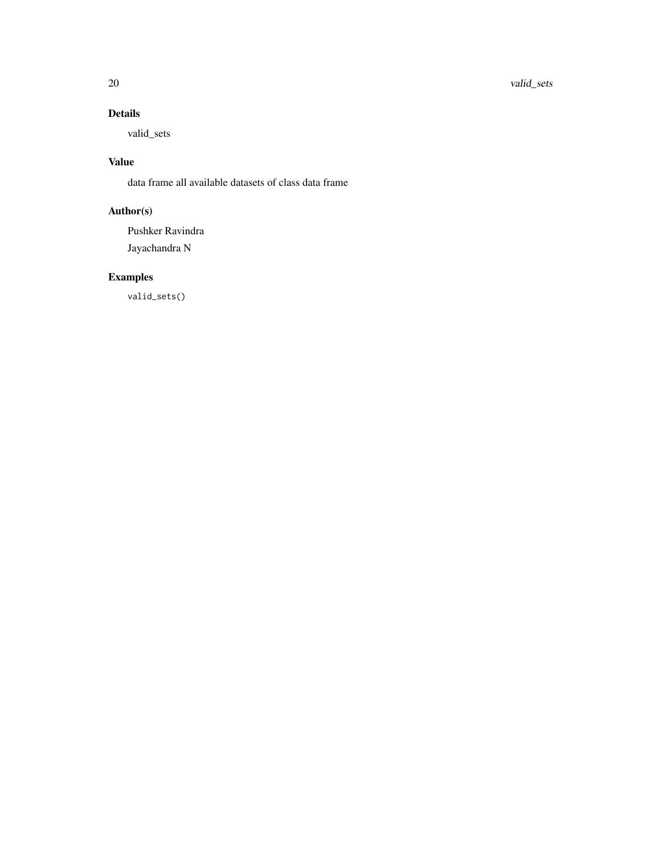20 valid\_sets

## Details

valid\_sets

## Value

data frame all available datasets of class data frame

## Author(s)

Pushker Ravindra Jayachandra N

# Examples

valid\_sets()